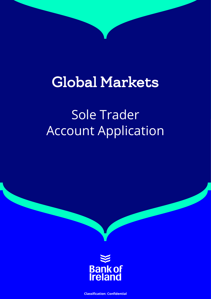# Global Markets

# Sole Trader Account Application



**Classification: Confidential**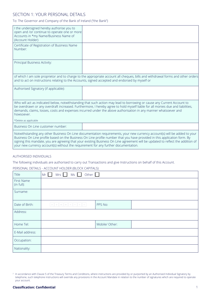## SECTION 1: YOUR PERSONAL DETAILS

#### To: The Governor and Company of the Bank of Ireland (''the Bank'')

| I the undersigned hereby authorise you to<br>open and /or continue to operate one or more<br>Accounts in *my Name/Business Name of<br>(Account Holder)                                                                                                                                                                                                                                                                                                                           |                                                                                                                                                                                                                                                                                                                                                                              |  |  |  |  |
|----------------------------------------------------------------------------------------------------------------------------------------------------------------------------------------------------------------------------------------------------------------------------------------------------------------------------------------------------------------------------------------------------------------------------------------------------------------------------------|------------------------------------------------------------------------------------------------------------------------------------------------------------------------------------------------------------------------------------------------------------------------------------------------------------------------------------------------------------------------------|--|--|--|--|
| Certificate of Registration of Business Name<br>Number:                                                                                                                                                                                                                                                                                                                                                                                                                          |                                                                                                                                                                                                                                                                                                                                                                              |  |  |  |  |
| Principal Business Activity:                                                                                                                                                                                                                                                                                                                                                                                                                                                     |                                                                                                                                                                                                                                                                                                                                                                              |  |  |  |  |
|                                                                                                                                                                                                                                                                                                                                                                                                                                                                                  | of which I am sole proprietor and to charge to the appropriate account all cheques, bills and withdrawal forms and other orders<br>and to act on instructions relating to the Accounts, signed accepted and endorsed by myself or                                                                                                                                            |  |  |  |  |
| Authorised Signatory (if applicable):                                                                                                                                                                                                                                                                                                                                                                                                                                            |                                                                                                                                                                                                                                                                                                                                                                              |  |  |  |  |
| howsoever.                                                                                                                                                                                                                                                                                                                                                                                                                                                                       | Who will act as indicated below, notwithstanding that such action may lead to borrowing or cause any Current Account to<br>be overdrawn or any overdraft increased. Furthermore, I hereby agree to hold myself liable for all monies due and liabilities,<br>demands, claims, losses, costs and expenses incurred under the above authorisation in any manner whatsoever and |  |  |  |  |
| *Delete as applicable                                                                                                                                                                                                                                                                                                                                                                                                                                                            |                                                                                                                                                                                                                                                                                                                                                                              |  |  |  |  |
| Business On Line customer number:                                                                                                                                                                                                                                                                                                                                                                                                                                                |                                                                                                                                                                                                                                                                                                                                                                              |  |  |  |  |
| Notwithstanding any other Business On Line documentation requirements, your new currency account(s) will be added to your<br>Business On Line profile based on the Business On Line profile number that you have provided in this application form. By<br>signing this mandate, you are agreeing that your existing Business On Line agreement will be updated to reflect the addition of<br>your new currency account(s) without the requirement for any further documentation. |                                                                                                                                                                                                                                                                                                                                                                              |  |  |  |  |

#### AUTHORISED INDIVIDUALS

The following individuals are authorised to carry out Transactions and give Instructions on behalf of this Account.

#### PERSONAL DETAILS - ACCOUNT HOLDER (BLOCK CAPITALS)

| Title                    | Other $\Box$<br>$MS \Box$<br>Mrs<br>Mr |                |  |  |  |
|--------------------------|----------------------------------------|----------------|--|--|--|
| First Name<br>(in full): |                                        |                |  |  |  |
| Surname:                 |                                        |                |  |  |  |
| Date of Birth:           | D D M M Y Y Y Y                        | PPS No:        |  |  |  |
| Address:                 |                                        |                |  |  |  |
| Home Tel:                |                                        | Mobile/ Other: |  |  |  |
| E-Mail address:          |                                        |                |  |  |  |
| Occupation:              |                                        |                |  |  |  |
| Nationality:             |                                        |                |  |  |  |

<sup>&</sup>lt;sup>2</sup> In accordance with Clause 5 of the Treasury Terms and Conditions, where instructions are provided by or purported by an Authorised Individual Signatory by telephone, such telephone instructions will override any provisions in the Account Mandate in relation to the number of signatures which are required to operate your account.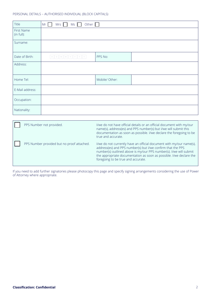| Title                    | $Mrs$ $Ms$<br>Other $\Box$<br>Mr |                |  |  |  |  |  |
|--------------------------|----------------------------------|----------------|--|--|--|--|--|
| First Name<br>(in full): |                                  |                |  |  |  |  |  |
| Surname:                 |                                  |                |  |  |  |  |  |
| Date of Birth:           | D D M M Y Y Y Y                  | PPS No:        |  |  |  |  |  |
| Address:                 |                                  |                |  |  |  |  |  |
| Home Tel:                |                                  | Mobile/ Other: |  |  |  |  |  |
| E-Mail address:          |                                  |                |  |  |  |  |  |
| Occupation:              |                                  |                |  |  |  |  |  |
| Nationality:             |                                  |                |  |  |  |  |  |

| PPS Number not provided.                   | I/we do not have official details or an official document with my/our<br>name(s), address(es) and PPS number(s) but I/we will submit this<br>documentation as soon as possible. I/we declare the foregoing to be<br>true and accurate.                                                                                 |
|--------------------------------------------|------------------------------------------------------------------------------------------------------------------------------------------------------------------------------------------------------------------------------------------------------------------------------------------------------------------------|
| PPS Number provided but no proof attached. | I/we do not currently have an official document with my/our name(s),<br>address(es) and PPS number(s) but I/we confirm that the PPS<br>number(s) outlined above is my/our PPS number(s). I/we will submit<br>the appropriate documentation as soon as possible. I/we declare the<br>foregoing to be true and accurate. |

If you need to add further signatories please photocopy this page and specify signing arrangements considering the use of Power of Attorney where appropriate.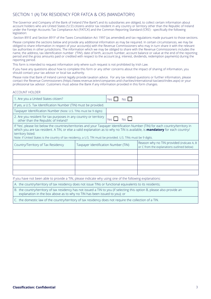## SECTION 1 (A) TAX RESIDENCY FOR FATCA & CRS (MANDATORY)

The Governor and Company of the Bank of Ireland ("the Bank") and its subsidiaries are obliged, to collect certain information about account holders who are United States ('U.S') citizens and/or tax resident in any country or territory other than the Republic of Ireland under the Foreign Accounts Tax Compliance Act ('FATCA') and the Common Reporting Standard ('CRS') - specifically the following legislation:

-Section 891E and Section 891F of the Taxes Consolidation Act 1997 (as amended) and tax regulations made pursuant to those sections.

Please complete the sections below and provide any additional information as may be required. In certain circumstances, we may be obliged to share information in respect of your account(s) with the Revenue Commissioners who may in turn share it with the relevant tax authorities in other jurisdictions. The information which we may be obliged to share with the Revenue Commissioners includes the name, the address, tax identification number ('TIN'), date of birth, account number, account balance or value at the end of the reporting period and the gross amounts paid or credited with respect to the account (e.g. interest, dividends, redemption payments) during the reporting period.

This form is intended to request information only where such request is not prohibited by Irish Law.

If you have any questions about how to complete this form or any other concerns about the impact of sharing of information, you should contact your tax advisor or local tax authority.

Please note that Bank of Ireland cannot legally provide taxation advice. For any tax related questions or further information, please contact the Revenue Commissioners (https://www.revenue.ie/en/companies-and-charities/international-tax/aeoi/index.aspx) or your professional tax advisor. Customers must advise the Bank if any information provided in this form changes.

#### ACCOUNT HOLDER

| 1. Are you a United States citizen?                                                                                                                                                                                                                                                                                                                                                                               |                                      | Yρς                  |                                                                                         |
|-------------------------------------------------------------------------------------------------------------------------------------------------------------------------------------------------------------------------------------------------------------------------------------------------------------------------------------------------------------------------------------------------------------------|--------------------------------------|----------------------|-----------------------------------------------------------------------------------------|
| If yes, a U.S. Tax Identification Number (TIN) must be provided.                                                                                                                                                                                                                                                                                                                                                  |                                      |                      |                                                                                         |
| Taxpayer Identification Number (Note: U.S. TINs must be 9 digits)                                                                                                                                                                                                                                                                                                                                                 |                                      |                      |                                                                                         |
| 2. Are you resident for tax purposes in any country or territory<br>other than the Republic of Ireland?                                                                                                                                                                                                                                                                                                           |                                      | $No$ $\Box$<br>Yes L |                                                                                         |
| If 'Yes', please list below the countries/territories and your Taxpayer Identification Number (TIN) for each country/territory in<br>which you are tax resident. A TIN, or else a valid explanation as to why no TIN is available, is <b>mandatory</b> for each country/<br>territory listed.<br>Note: if United States is the country of tax residency, a U.S. TIN must be provided. U.S. TINs must be 9 digits. |                                      |                      |                                                                                         |
| Country/Territory of Tax Residency                                                                                                                                                                                                                                                                                                                                                                                | Taxpayer Identification Number (TIN) |                      | Reason why no TIN provided (indicate A, B<br>or C from the explanations outlined below) |
|                                                                                                                                                                                                                                                                                                                                                                                                                   |                                      |                      |                                                                                         |
|                                                                                                                                                                                                                                                                                                                                                                                                                   |                                      |                      |                                                                                         |
|                                                                                                                                                                                                                                                                                                                                                                                                                   |                                      |                      |                                                                                         |
|                                                                                                                                                                                                                                                                                                                                                                                                                   |                                      |                      |                                                                                         |
|                                                                                                                                                                                                                                                                                                                                                                                                                   |                                      |                      |                                                                                         |
| If you have not been able to provide a TIN, please indicate why using one of the following explanations:                                                                                                                                                                                                                                                                                                          |                                      |                      |                                                                                         |

A. the country/territory of tax residency does not issue TINs or functional equivalents to its residents;

B. the country/territory of tax residency has not issued a TIN to you (if selecting this option B, please also provide an explanation in the box above as to why no TIN has been issued to you); or

C. the domestic law of the country/territory of tax residency does not require the collection of a TIN.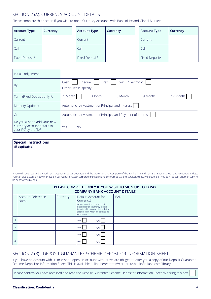# SECTION 2 (A): CURRENCY ACCOUNT DETAILS

Please complete this section if you wish to open Currency Accounts with Bank of Ireland Global Markets:

| Account Type   | Currency | <b>Account Type</b> | Currency | <b>Account Type</b> | Currency |
|----------------|----------|---------------------|----------|---------------------|----------|
| Current        |          | Current             |          | Current             |          |
| Call           |          | Call                |          | Call                |          |
| Fixed Deposit* |          | Fixed Deposit*      |          | Fixed Deposit*      |          |

| Initial Lodgement:                                                                |                                                                          |
|-----------------------------------------------------------------------------------|--------------------------------------------------------------------------|
| By:                                                                               | Cheque     Draft     SWIFT/Electronic  <br>Cash<br>Other Please specify: |
| Term (Fixed Deposit only)*:                                                       | 9 Month<br>3 Month<br>6 Month<br>1 Month<br>12 Month                     |
| <b>Maturity Options:</b>                                                          | Automatic reinvestment of Principal and Interest                         |
| Or                                                                                | Automatic reinvestment of Principal and Payment of Interest              |
| Do you wish to add your new<br>currency account details to<br>your FXPay profile? | Yes<br>No.                                                               |

| <b>Special Instructions</b><br>(if applicable) |  |  |
|------------------------------------------------|--|--|
|                                                |  |  |
|                                                |  |  |

\* You will have received a Fixed Term Deposit Product Overview and the Governor and Company of the Bank of Ireland Terms of Business with this Account Mandate. You can also access a copy of these on our website https://corporate.bankofireland.com/products-and-services/treasury-solutions or you can request another copy to be sent to you by post.

|               | PLEASE COMPLETE ONLY IF YOU WISH TO SIGN UP TO FXPAY<br><b>COMPANY BANK ACCOUNT DETAILS</b> |          |                                                                                                                                                                                                    |       |             |  |  |  |
|---------------|---------------------------------------------------------------------------------------------|----------|----------------------------------------------------------------------------------------------------------------------------------------------------------------------------------------------------|-------|-------------|--|--|--|
|               | Account Reference<br>Name                                                                   | Currency | Default Account for<br>Currency?<br>Where more than one account<br>is specified for a currency, please<br>indicate which account is the default<br>account from which money is to be<br>withdrawn. |       | <b>IBAN</b> |  |  |  |
|               |                                                                                             |          | Yes                                                                                                                                                                                                | $N_O$ |             |  |  |  |
| $\bigcap$     |                                                                                             |          | Yes __                                                                                                                                                                                             | No I  |             |  |  |  |
| $\mathcal{R}$ |                                                                                             |          | Yes                                                                                                                                                                                                | No I  |             |  |  |  |
| 4             |                                                                                             |          | Yes I                                                                                                                                                                                              | Nο    |             |  |  |  |

# SECTION 2 (B) - DEPOSIT GUARANTEE SCHEME-DEPOSITOR INFORMATION SHEET

If you have an Account with us or wish to open an Account with us, we are obliged to offer you a copy of our Deposit Guarantee Scheme-Depositor Information Sheet. This is available online here: https://corporate.bankofireland.com/library

Please confirm you have accessed and read the Deposit Guarantee Scheme-Depositor Information Sheet by ticking this box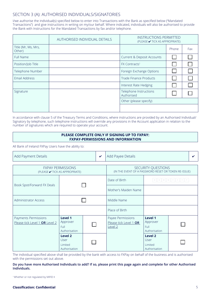## SECTION 3 (A): AUTHORISED INDIVIDUALS/SIGNATORIES

I/we authorise the individual(s) specified below to enter into Transactions with the Bank as specified below ("Mandated Transactions") and give instructions in writing on my/our behalf. Where indicated, individuals will also be authorised to provide the Bank with Instructions for the Mandated Transactions by fax and/or telephone.

|                               | AUTHORISED INDIVIDUAL DETAILS | <b>INSTRUCTIONS PERMITTED</b><br>(PLEASE ✔ TICK AS APPROPRIATE) |       |     |
|-------------------------------|-------------------------------|-----------------------------------------------------------------|-------|-----|
| Title (Mr, Ms, Mrs,<br>Other) |                               |                                                                 | Phone | Fax |
| Full Name                     |                               | Current & Deposit Accounts                                      |       |     |
| Position/Job Title            |                               | FX Contracts <sup>1</sup>                                       |       |     |
| Telephone Number              |                               | Foreign Exchange Options                                        |       |     |
| Email Address                 |                               | Trade Finance Products                                          |       |     |
|                               |                               | Interest Rate Hedging                                           |       |     |
| Signature                     |                               | Telephone Instructions<br>Authorised                            |       |     |
|                               |                               | Other (please specify)                                          |       |     |
|                               |                               |                                                                 |       |     |

In accordance with clause 5 of the Treasury Terms and Conditions, where instructions are provided by an Authorised Individual/ Signatory by telephone, such telephone instructions will override any provisions in the Account application in relation to the number of signatures which are required to operate your account.

#### **PLEASE COMPLETE ONLY IF SIGNING UP TO FXPAY: FXPAY-PERMISSIONS AND INFORMATION**

All Bank of Ireland FXPay Users have the ability to:

| Add Payment Details                                        |                                                    |  | $\boldsymbol{\mathcal{U}}$ | Add Payee Details                                                 |                                                    |                 |  |
|------------------------------------------------------------|----------------------------------------------------|--|----------------------------|-------------------------------------------------------------------|----------------------------------------------------|-----------------|--|
| <b>FXPAY PERMISSIONS</b><br>(PLEASE ✔ TICK AS APPROPRIATE) |                                                    |  |                            | (IN THE EVENT OF A PASSWORD RESET OR TOKEN RE-ISSUE)              | SECURITY QUESTIONS                                 |                 |  |
|                                                            |                                                    |  |                            | Date of Birth                                                     |                                                    | D D M M Y Y Y Y |  |
| Book Spot/Forward FX Deals                                 |                                                    |  |                            | Mother's Maiden Name                                              |                                                    |                 |  |
| <b>Administrator Access</b>                                |                                                    |  |                            | Middle Name                                                       |                                                    |                 |  |
|                                                            |                                                    |  |                            | Place of Birth                                                    |                                                    |                 |  |
| Payments Permissions<br>Please tick Level 1 OR Level 2     | Level 1<br>Approver<br>Full<br>Authorisation       |  |                            | Payee Permissions<br>Please tick Level 1 OR<br>Level <sub>2</sub> | Level 1<br>Approver<br>Full<br>Authorisation       |                 |  |
|                                                            | Level 2<br>User<br><b>Limited</b><br>Authorisation |  |                            |                                                                   | Level 2<br>User<br><b>Limited</b><br>Authorisation |                 |  |

The individual specified above shall be provided by the bank with access to FXPay on behalf of the business and is authorised with the permissions set out above.

#### **Do you have more Authorised Individuals to add? If so, please print this page again and complete for other Authorised Individuals.**

1 Whether or not regulated by MiFID II

#### **Classification: Confidential**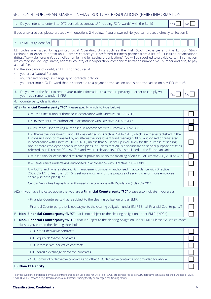# SECTION 4: EUROPEAN MARKET INFRASTRUCTURE REGULATIONS (EMIR) INFORMATION

| Do you intend to enter into OTC derivatives contracts <sup>1</sup> (including FX forwards) with the Bank?<br>Yes                                                                                                                                                                                                                                                                                                                                                                                                                                                                                                                                                                | <b>No</b> |
|---------------------------------------------------------------------------------------------------------------------------------------------------------------------------------------------------------------------------------------------------------------------------------------------------------------------------------------------------------------------------------------------------------------------------------------------------------------------------------------------------------------------------------------------------------------------------------------------------------------------------------------------------------------------------------|-----------|
| If you answered yes, please proceed with questions 2-4 below. If you answered No, you can proceed directly to Section 8.                                                                                                                                                                                                                                                                                                                                                                                                                                                                                                                                                        |           |
| 2.<br>Legal Entity Identifier                                                                                                                                                                                                                                                                                                                                                                                                                                                                                                                                                                                                                                                   |           |
| LEI codes are issued by appointed Local Operating Units such as the Irish Stock Exchange and the London Stock<br>Exchange. In order to obtain an LEI simply contact your preferred business partner from a list of LEI issuing organizations<br>(https://www.gleif.org/en/about-lei/get-an-lei-find-lei-issuing-organizations) You will be required to provide certain information<br>which may include, legal name, address, country of incorporation, company registration number, VAT number and also, to pay<br>a small fee.<br>For the avoidance of doubt, an LEI is not required if<br>you are a Natural Person;<br>you transact foreign exchange spot contracts only; or |           |
| you enter into a FX Forward that is connected to a payment transaction and is not transacted on a MIFID Venue <sup>2</sup> .                                                                                                                                                                                                                                                                                                                                                                                                                                                                                                                                                    |           |
| 3.<br>Do you want the Bank to report your trade information to a trade repository in order to comply with<br>Yes <sup></sup><br>your requirements under EMIR?                                                                                                                                                                                                                                                                                                                                                                                                                                                                                                                   | No.       |
| Counterparty Classification<br>4.                                                                                                                                                                                                                                                                                                                                                                                                                                                                                                                                                                                                                                               |           |
| A(1) - Financial Counterparty "FC" (Please specify which FC type below)                                                                                                                                                                                                                                                                                                                                                                                                                                                                                                                                                                                                         |           |
| C = Credit Institution authorised in accordance with Directive 2013/36/EU;                                                                                                                                                                                                                                                                                                                                                                                                                                                                                                                                                                                                      |           |
| F = Investment Firm authorised in accordance with Directive 2014/65/EU;                                                                                                                                                                                                                                                                                                                                                                                                                                                                                                                                                                                                         |           |
| I = Insurance Undertaking authorised in accordance with Directive 2009/138/EC;                                                                                                                                                                                                                                                                                                                                                                                                                                                                                                                                                                                                  |           |
| L = Alternative Investment Fund (AIF), as defined in Directive 2011/61/EU, which is either established in the<br>European Union or managed by an alternative investment fund manager (AIFM) authorised or registered<br>in accordance with Directive 2011/61/EU, unless that AIF is set up exclusively for the purpose of serving<br>one or more employee share purchase plans, or unless that AIF is a securitisation special purpose entity as<br>referred to in Directive 2011/61/EU, and, where relevant, its AIFM established in the European Union;                                                                                                                       |           |
| O = Institution for occupational retirement provision within the meaning of Article 6 of Directive (EU) 2016/2341;                                                                                                                                                                                                                                                                                                                                                                                                                                                                                                                                                              |           |
| R = Reinsurance undertaking authorised in accordance with Directive 2009/138/EC;                                                                                                                                                                                                                                                                                                                                                                                                                                                                                                                                                                                                |           |
| U = UCITS and, where relevant, its management company, authorised in accordance with Directive<br>2009/65/ EC (unless that UCITS is set up exclusively for the purpose of serving one or more employee<br>share purchase plans); or                                                                                                                                                                                                                                                                                                                                                                                                                                             |           |
| Central Securities Depository authorised in accordance with Regulation (EU) 909/2014                                                                                                                                                                                                                                                                                                                                                                                                                                                                                                                                                                                            |           |
| A(2) - If you have indicated above that you are a <i>Financial Counterparty "FC"</i> please also indicate if you are a:                                                                                                                                                                                                                                                                                                                                                                                                                                                                                                                                                         |           |
| - Financial Counterparty that is subject to the clearing obligation under EMIR                                                                                                                                                                                                                                                                                                                                                                                                                                                                                                                                                                                                  |           |
| - Financial Counterparty that is not subject to the clearing obligation under EMIR ["Small Financial Counterparty"]                                                                                                                                                                                                                                                                                                                                                                                                                                                                                                                                                             |           |
| B - Non- Financial Counterparty "NFC" that is not subject to the clearing obligation under EMIR ["NFC-"]                                                                                                                                                                                                                                                                                                                                                                                                                                                                                                                                                                        |           |
| C - Non- Financial Counterparty "NFC+" that is subject to the clearing obligation under EMIR. Please tick which asset                                                                                                                                                                                                                                                                                                                                                                                                                                                                                                                                                           |           |
| classes you exceed the clearing threshold                                                                                                                                                                                                                                                                                                                                                                                                                                                                                                                                                                                                                                       |           |
| - OTC credit derivative contracts                                                                                                                                                                                                                                                                                                                                                                                                                                                                                                                                                                                                                                               |           |
| - OTC equity derivative contracts                                                                                                                                                                                                                                                                                                                                                                                                                                                                                                                                                                                                                                               |           |
| - OTC interest rate derivative contracts                                                                                                                                                                                                                                                                                                                                                                                                                                                                                                                                                                                                                                        |           |
| - OTC foreign exchange derivative contracts                                                                                                                                                                                                                                                                                                                                                                                                                                                                                                                                                                                                                                     |           |
| - OTC commodity derivative contracts and other OTC derivative contracts not provided for above                                                                                                                                                                                                                                                                                                                                                                                                                                                                                                                                                                                  |           |
| D - Non- EEA entity                                                                                                                                                                                                                                                                                                                                                                                                                                                                                                                                                                                                                                                             |           |

<sup>1</sup> For the avoidance of doubt, derivative contracts traded on MTFs and /or OTFs (e.g. FXALL) are considered to be "OTC derivative contracts" for the purposes of EMIR. <sup>2</sup> 'MIFID Venue' means a regulated market, a multilateral trading facility or an organized trading facility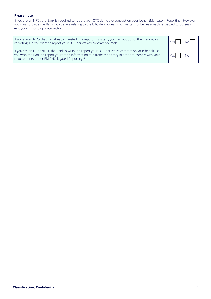#### **Please note,**

If you are an NFC-, the Bank is required to report your OTC derivative contract on your behalf (Mandatory Reporting). However, you must provide the Bank with details relating to the OTC derivatives which we cannot be reasonably expected to possess (e.g. your LEI or corporate sector).

| If you are an NFC- that has already invested in a reporting system, you can opt out of the mandatory<br>reporting. Do you want to report your OTC derivatives contract yourself?                                                                                   | Yρς |  |
|--------------------------------------------------------------------------------------------------------------------------------------------------------------------------------------------------------------------------------------------------------------------|-----|--|
| If you are an FC or NFC+, the Bank is willing to report your OTC derivative contract on your behalf. Do<br>you wish the Bank to report your trade information to a trade repository in order to comply with your<br>requirements under EMIR (Delegated Reporting)? |     |  |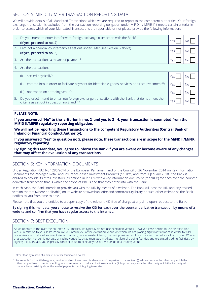## SECTION 5: MIFID II / MIFIR TRANSACTION REPORTING DATA

We will provide details of all Mandated Transactions which we are required to report to the competent authorities. Your foreign exchange transaction is excluded from the transaction reporting obligation under MiFID II / MiFIR if it meets certain criteria. In order to assess which of your Mandated Transactions are reportable or not please provide the following information:

| 1. | Do you intend to enter into forward foreign exchange transaction with the Bank?                                                                    |       |     |
|----|----------------------------------------------------------------------------------------------------------------------------------------------------|-------|-----|
|    | (If yes, proceed to no. 2)                                                                                                                         |       |     |
| 2. | I am not a financial counterparty as set out under EMIR (see Section 5 above)                                                                      |       |     |
|    | (If yes, proceed to no. 3)                                                                                                                         | Yes.  |     |
|    | 3. Are the transactions a means of payment?                                                                                                        | Yes.  | NΩ  |
|    | 4. Are the transactions                                                                                                                            |       |     |
|    | settled physically? <sup>1</sup> ;<br>(i)                                                                                                          | Yes   | No  |
|    | entered into in order to facilitate payment for identifiable goods, services or direct investment? <sup>2</sup> ;<br>(ii)                          | Yes   | No. |
|    | not traded on a trading venue?<br>(iii)                                                                                                            | Yes I | No. |
| 5. | Do you (also) intend to enter into foreign exchange transactions with the Bank that do not meet the<br>criteria as set out in question no.3 and 4? | Yes   |     |

#### **PLEASE NOTE:**

**If you answered "No" to the criterion in no. 2 and yes to 3 - 4, your transaction is exempted from the MiFID II/MiFIR regulatory reporting obligation.**

**We will not be reporting these transactions to the competent Regulatory Authorities (Central Bank of Ireland or Financial Conduct Authority).**

**If you answered "Yes" to question no 5, please note, these transactions are in scope for the MiFID II/MiFIR regulatory reporting.**

**By signing this Mandate, you agree to inform the Bank if you are aware or become aware of any changes that may affect the evaluation of any transactions.**

### SECTION 6: KEY INFORMATION DOCUMENTS

Under Regulation (EU) No 1286/2014 of the European Parliament and of the Council of 26 November 2014 on Key Information Documents for Packaged Retail and Insurance-based Investment Products ("PRIIPs") and from 1 January 2018 , the Bank is obliged to provide its retail investors (as defined in PRIIPs) with a key information document (the "KID") for each over-the-counter derivative transaction that is within the scope of PRIIPs and that they enter into with the Bank.

In each case, the Bank intends to provide you with the KID by means of a website. The Bank will post the KID and any revised version thereof (where applicable) on its website at www.bankofireland.com/treasurylibrary or such other website as the Bank notifies to you from time to time.

Please note that you are entitled to a paper copy of the relevant KID free of charge at any time upon request to the Bank.

#### **By signing this mandate, you choose to receive the KID for each over-the-counter derivative transaction by means of a website and confirm that you have regular access to the internet.**

## SECTION 7: BEST EXECUTION

As we operate in the over-the-counter (OTC) market, we typically do not use execution venues. However, if we decide to use an execution venue in relation to your Instruction, we will inform you of the execution venue on which we are placing significant reliance in order to fulfil our obligation to take all sufficient steps to obtain, on a consistent basis, the best possible result for the execution of your Instruction. Where that execution venue is not also a trading venue (such as regulated markets, multilateral trading facilities and organised trading facilities), by signing this Mandate, you expressly consent to us to execute your order outside of a trading venue.

<sup>1</sup> Other than by reason of a default or other termination events

<sup>2</sup> An example for "identifiable goods, services or direct investment" is where one of the parties to the contract (i) sells currency to the other party which that other party will use to pay for specific goods or services or to make a direct investment or (ii) buys currency from the other party which the first party will use to achieve certainty about the level of payments that it is going to receive.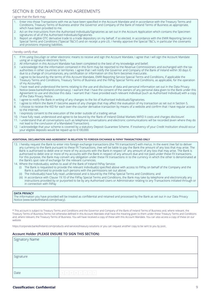## SECTION 8: DECLARATION AND AGREEMENTS

#### I agree that the Bank may:

- 1. Enter into those Transactions with me as have been specified in the Account Mandate and in accordance with the Treasury Terms and Conditions, Treasury Terms of Business and/or the Governor and Company of the Bank of Ireland Terms of Business as appropriate, which have been provided to me.
- 2. Act on the Instructions from the Authorised Individuals/Signatories as set out in the Account Application which contains the Specimen signatures of all of the Authorised Individuals/Signatories
- 3. Report an eligible OTC derivative trade to a trade depository on my behalf, if so elected, in accordance with the EMIR Reporting Service Special Terms and Conditions (''Special T&C's'') and on receipt a pre-LEI, I hereby approve the Special T&C's, in particular the covenants and provisions imposing liabilities.

#### I hereby certify that:

- 1. If I'm using DocuSign or other electronic means to receive and sign the Account Mandate, I agree that I will sign the Account Mandate using an e-signature electronic form.
- 2. All information in this Account Mandate has been completed to the best of my knowledge and belief;
- 3. I acknowledge that the information contained in this form may be reported to the Revenue Commissioners and exchanged with the tax authorities in other countries or territories. I agree that I will notify the Governor and Company of the Bank of Ireland within 30 days if, due to a change of circumstances, any certification or information on this form becomes inaccurate.
- 4. I agree to be bound by the terms of this Account Mandate, EMIR Reporting Service Special Terms and Conditions, if applicable the Treasury Terms and Conditions, Treasury Terms of Business and the FXPay Special Terms and Conditions, as applicable, for the operation of my Account(s).
- 5. I have read and understood the terms relating to the use and disclosure of data and personal information set out in the Data Privacy Notice (www.bankofireland.com/privacy). I warrant that I have the consent of the owners of any personal data given to the Bank under this Agreement to use and disclose this data. I warrant that I have provided each relevant individual (such as Authorised Individual) with a copy of the Data Privacy Notice.
- 6. I agree to notify the Bank in writing of any changes to the list of Authorised Individuals/Signatories.
- 1 agree to inform the Bank if I become aware of any changes that may affect the evaluation of my transaction as set out in Section 5. 8. I choose to receive the KID for each over-the-counter derivative transaction by means of a website and confirm that I have regular access to the internet.
- 9. I expressly consent to the execution of the order outside of a trading venue
- 10. I have fully read, understood and agree to be bound by the 'Bank of Ireland Global Markets MiFID II costs and charges disclosure'.
- 11. I understand that all conversations such as telephone conversations and electronic communications will be recorded (even where they do not lead to the conclusion of a Mandated Transaction).
- 12. I acknowledge that your scheme is covered by a statutory Deposit Guarantee Scheme. If insolvency of your Credit Institution should occur your eligible deposits would be repaid up to €100,000.

#### **ADDITIONAL DECLARATION AND AGREEMENT IN RELATION TO FOREIGN EXCHANGE & FXPAY TRANSACTIONS ONLY**

- 13. I hereby request the Bank to enter into foreign exchange transactions (the "FX transactions'') with me/us. In the event I/we fail to deliver any currency to the Bank pursuant to these FX Transactions, I/we will be liable to pay the Bank the amount of any loss that may arise. The Bank is authorised to debit one or more of my accounts with the Bank in respect of any amount of any loss that may arise. The Bank is authorised to debit one or more of my accounts with the Bank in respect of any amount due and not paid under these FX transactions. For this purpose, the Bank may convert any obligation under these FX transactions in to the currency in which the other is denominated at the Bank's spot rate of exchange for the relevant currencies.
- 14. Where the Individual(s), wishes to avail of the Bank of Ireland FXPay Service:
	- (i) The Bank is requested to provide the relevant individual(s) specified above with access to FXPay on behalf of the Company and the Bank is authorised to provide such persons with the permissions set out above;
	- (ii) The Individual(s) have fully read ,understood and is bound by the FXPay Special Terms and Conditions; and
	- (iii) In accordance with Clause 19.10 of the FXPay Special Terms and Conditions, the Bank may take by telephone and electronically any instructions provided by or purported to be by any Authorised Users or Administrator relating to any Transactions initiated through or in connection with FXPay

#### **DATA PRIVACY**

The information you have provided will be treated as confidential and retained and processed by the Bank as set out in our Data Privacy Notice (www.bankofireland.com/privacy).

\* This account is subject to Treasury Terms and Conditions and the Governor and Company of the Bank of Ireland Terms of Business and, where relevant, the Treasury Terms of Business.Terms not otherwise defined in this Account Mandate shall have the meaning given to them under these Treasury Terms and Conditions and, where relevant, the Treasury Terms of Business. You will have received a copy of these with this Account Mandate. You can also access a copy of these on our website

https://corporate.bankofireland.com/products-and-services/treasury-solutions or you can request another copy to be sent to you by post.

#### **Account Holder (PLEASE ENSURE TO SIGN THIS SECTION)**